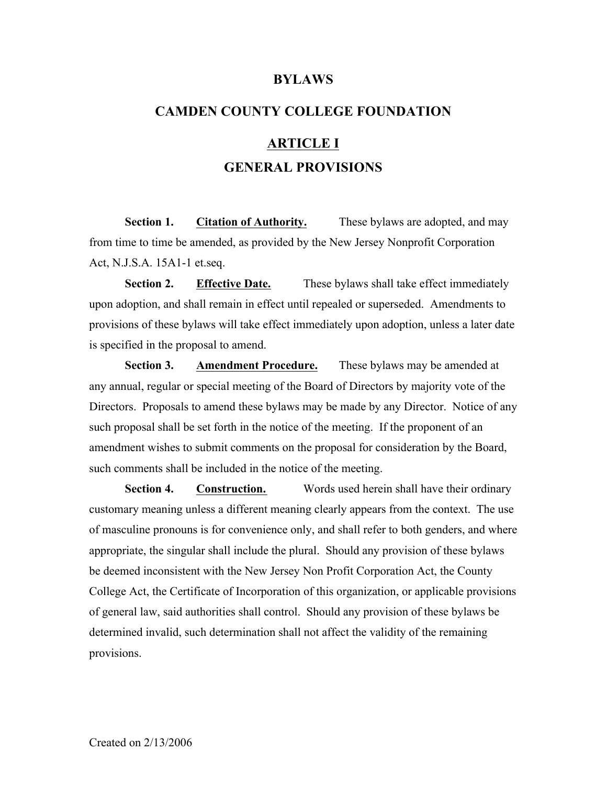#### **BYLAWS**

# **CAMDEN COUNTY COLLEGE FOUNDATION ARTICLE I GENERAL PROVISIONS**

**Section 1. Citation of Authority.** These bylaws are adopted, and may from time to time be amended, as provided by the New Jersey Nonprofit Corporation Act, N.J.S.A. 15A1-1 et.seq.

**Section 2. Effective Date.** These bylaws shall take effect immediately upon adoption, and shall remain in effect until repealed or superseded. Amendments to provisions of these bylaws will take effect immediately upon adoption, unless a later date is specified in the proposal to amend.

**Section 3. Amendment Procedure.** These bylaws may be amended at any annual, regular or special meeting of the Board of Directors by majority vote of the Directors. Proposals to amend these bylaws may be made by any Director. Notice of any such proposal shall be set forth in the notice of the meeting. If the proponent of an amendment wishes to submit comments on the proposal for consideration by the Board, such comments shall be included in the notice of the meeting.

**Section 4. Construction.** Words used herein shall have their ordinary customary meaning unless a different meaning clearly appears from the context. The use of masculine pronouns is for convenience only, and shall refer to both genders, and where appropriate, the singular shall include the plural. Should any provision of these bylaws be deemed inconsistent with the New Jersey Non Profit Corporation Act, the County College Act, the Certificate of Incorporation of this organization, or applicable provisions of general law, said authorities shall control. Should any provision of these bylaws be determined invalid, such determination shall not affect the validity of the remaining provisions.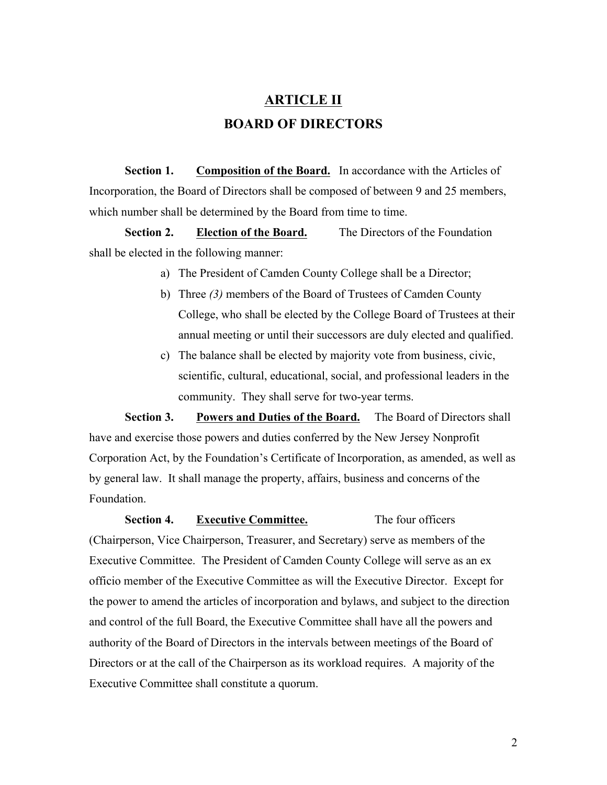# **ARTICLE II BOARD OF DIRECTORS**

**Section 1. Composition of the Board.** In accordance with the Articles of Incorporation, the Board of Directors shall be composed of between 9 and 25 members, which number shall be determined by the Board from time to time.

**Section 2. Election of the Board.** The Directors of the Foundation shall be elected in the following manner:

- a) The President of Camden County College shall be a Director;
- b) Three *(3)* members of the Board of Trustees of Camden County College, who shall be elected by the College Board of Trustees at their annual meeting or until their successors are duly elected and qualified.
- c) The balance shall be elected by majority vote from business, civic, scientific, cultural, educational, social, and professional leaders in the community. They shall serve for two-year terms.

**Section 3. Powers and Duties of the Board.** The Board of Directors shall have and exercise those powers and duties conferred by the New Jersey Nonprofit Corporation Act, by the Foundation's Certificate of Incorporation, as amended, as well as by general law. It shall manage the property, affairs, business and concerns of the Foundation.

**Section 4. Executive Committee.** The four officers (Chairperson, Vice Chairperson, Treasurer, and Secretary) serve as members of the Executive Committee. The President of Camden County College will serve as an ex officio member of the Executive Committee as will the Executive Director. Except for the power to amend the articles of incorporation and bylaws, and subject to the direction and control of the full Board, the Executive Committee shall have all the powers and authority of the Board of Directors in the intervals between meetings of the Board of Directors or at the call of the Chairperson as its workload requires. A majority of the Executive Committee shall constitute a quorum.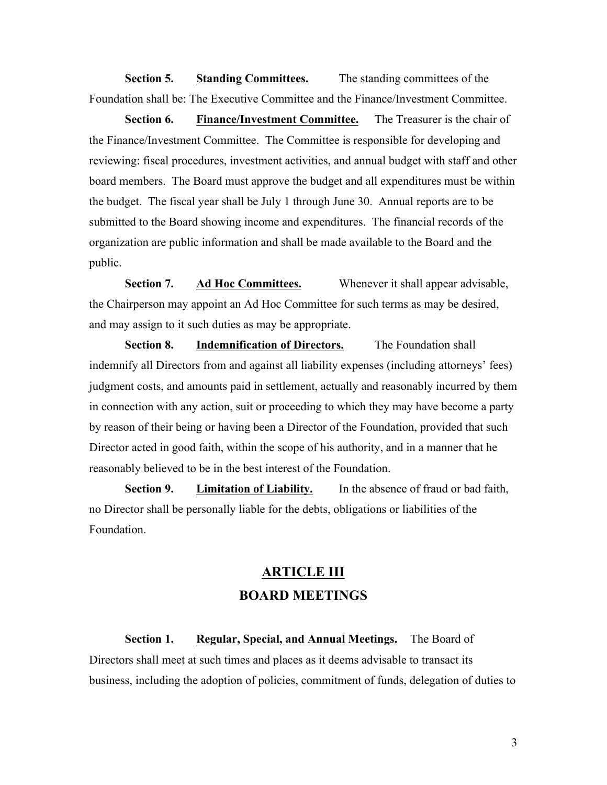**Section 5. Standing Committees.** The standing committees of the Foundation shall be: The Executive Committee and the Finance/Investment Committee.

**Section 6. Finance/Investment Committee.** The Treasurer is the chair of the Finance/Investment Committee. The Committee is responsible for developing and reviewing: fiscal procedures, investment activities, and annual budget with staff and other board members. The Board must approve the budget and all expenditures must be within the budget. The fiscal year shall be July 1 through June 30. Annual reports are to be submitted to the Board showing income and expenditures. The financial records of the organization are public information and shall be made available to the Board and the public.

**Section 7. Ad Hoc Committees.** Whenever it shall appear advisable, the Chairperson may appoint an Ad Hoc Committee for such terms as may be desired, and may assign to it such duties as may be appropriate.

**Section 8. Indemnification of Directors.** The Foundation shall indemnify all Directors from and against all liability expenses (including attorneys' fees) judgment costs, and amounts paid in settlement, actually and reasonably incurred by them in connection with any action, suit or proceeding to which they may have become a party by reason of their being or having been a Director of the Foundation, provided that such Director acted in good faith, within the scope of his authority, and in a manner that he reasonably believed to be in the best interest of the Foundation.

**Section 9. Limitation of Liability.** In the absence of fraud or bad faith, no Director shall be personally liable for the debts, obligations or liabilities of the Foundation.

### **ARTICLE III BOARD MEETINGS**

**Section 1. Regular, Special, and Annual Meetings.** The Board of Directors shall meet at such times and places as it deems advisable to transact its business, including the adoption of policies, commitment of funds, delegation of duties to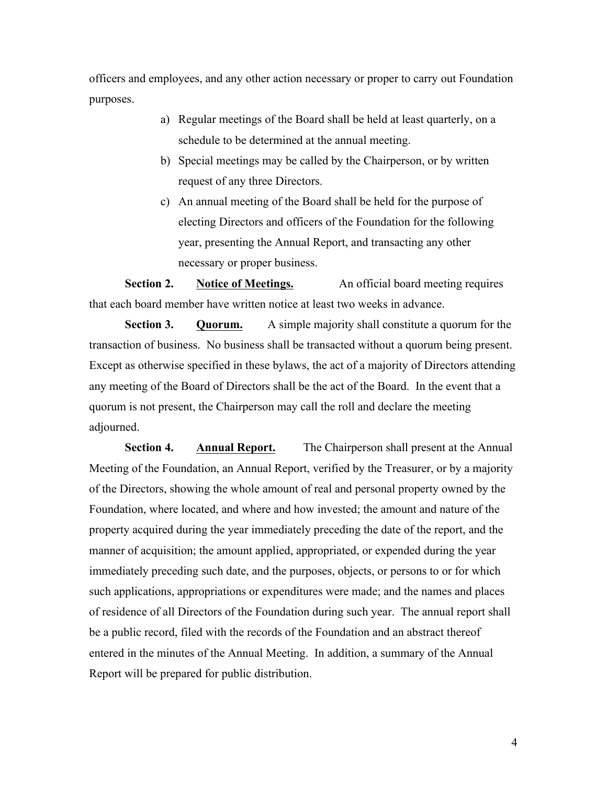officers and employees, and any other action necessary or proper to carry out Foundation purposes.

- a) Regular meetings of the Board shall be held at least quarterly, on a schedule to be determined at the annual meeting.
- b) Special meetings may be called by the Chairperson, or by written request of any three Directors.
- c) An annual meeting of the Board shall be held for the purpose of electing Directors and officers of the Foundation for the following year, presenting the Annual Report, and transacting any other necessary or proper business.

**Section 2. Notice of Meetings.** An official board meeting requires that each board member have written notice at least two weeks in advance.

**Section 3. Quorum.** A simple majority shall constitute a quorum for the transaction of business. No business shall be transacted without a quorum being present. Except as otherwise specified in these bylaws, the act of a majority of Directors attending any meeting of the Board of Directors shall be the act of the Board. In the event that a quorum is not present, the Chairperson may call the roll and declare the meeting adjourned.

**Section 4. Annual Report.** The Chairperson shall present at the Annual Meeting of the Foundation, an Annual Report, verified by the Treasurer, or by a majority of the Directors, showing the whole amount of real and personal property owned by the Foundation, where located, and where and how invested; the amount and nature of the property acquired during the year immediately preceding the date of the report, and the manner of acquisition; the amount applied, appropriated, or expended during the year immediately preceding such date, and the purposes, objects, or persons to or for which such applications, appropriations or expenditures were made; and the names and places of residence of all Directors of the Foundation during such year. The annual report shall be a public record, filed with the records of the Foundation and an abstract thereof entered in the minutes of the Annual Meeting. In addition, a summary of the Annual Report will be prepared for public distribution.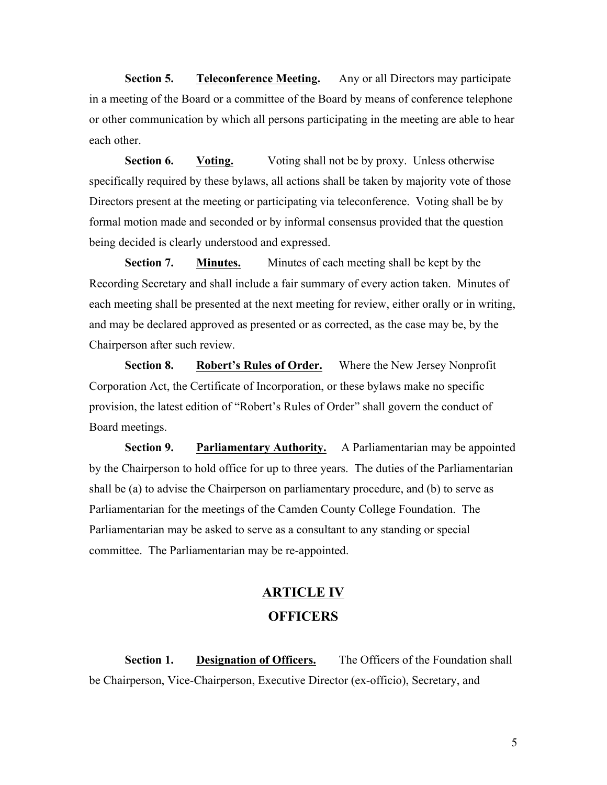**Section 5. Teleconference Meeting.** Any or all Directors may participate in a meeting of the Board or a committee of the Board by means of conference telephone or other communication by which all persons participating in the meeting are able to hear each other.

**Section 6. Voting.** Voting shall not be by proxy. Unless otherwise specifically required by these bylaws, all actions shall be taken by majority vote of those Directors present at the meeting or participating via teleconference. Voting shall be by formal motion made and seconded or by informal consensus provided that the question being decided is clearly understood and expressed.

**Section 7. Minutes.** Minutes of each meeting shall be kept by the Recording Secretary and shall include a fair summary of every action taken. Minutes of each meeting shall be presented at the next meeting for review, either orally or in writing, and may be declared approved as presented or as corrected, as the case may be, by the Chairperson after such review.

**Section 8. Robert's Rules of Order.** Where the New Jersey Nonprofit Corporation Act, the Certificate of Incorporation, or these bylaws make no specific provision, the latest edition of "Robert's Rules of Order" shall govern the conduct of Board meetings.

**Section 9. Parliamentary Authority.** A Parliamentarian may be appointed by the Chairperson to hold office for up to three years. The duties of the Parliamentarian shall be (a) to advise the Chairperson on parliamentary procedure, and (b) to serve as Parliamentarian for the meetings of the Camden County College Foundation. The Parliamentarian may be asked to serve as a consultant to any standing or special committee. The Parliamentarian may be re-appointed.

### **ARTICLE IV OFFICERS**

**Section 1. Designation of Officers.** The Officers of the Foundation shall be Chairperson, Vice-Chairperson, Executive Director (ex-officio), Secretary, and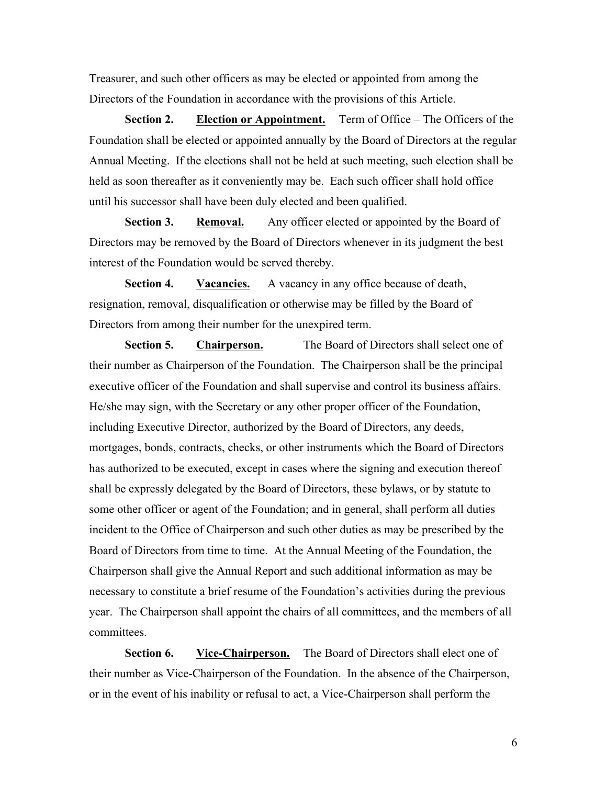Treasurer, and such other officers as may be elected or appointed from among the Directors of the Foundation in accordance with the provisions of this Article.

**Section 2. Election or Appointment.** Term of Office – The Officers of the Foundation shall be elected or appointed annually by the Board of Directors at the regular Annual Meeting. If the elections shall not be held at such meeting, such election shall be held as soon thereafter as it conveniently may be. Each such officer shall hold office until his successor shall have been duly elected and been qualified.

**Section 3. Removal.** Any officer elected or appointed by the Board of Directors may be removed by the Board of Directors whenever in its judgment the best interest of the Foundation would be served thereby.

**Section 4. Vacancies.** A vacancy in any office because of death, resignation, removal, disqualification or otherwise may be filled by the Board of Directors from among their number for the unexpired term.

**Section 5. Chairperson.** The Board of Directors shall select one of their number as Chairperson of the Foundation. The Chairperson shall be the principal executive officer of the Foundation and shall supervise and control its business affairs. He/she may sign, with the Secretary or any other proper officer of the Foundation, including Executive Director, authorized by the Board of Directors, any deeds, mortgages, bonds, contracts, checks, or other instruments which the Board of Directors has authorized to be executed, except in cases where the signing and execution thereof shall be expressly delegated by the Board of Directors, these bylaws, or by statute to some other officer or agent of the Foundation; and in general, shall perform all duties incident to the Office of Chairperson and such other duties as may be prescribed by the Board of Directors from time to time. At the Annual Meeting of the Foundation, the Chairperson shall give the Annual Report and such additional information as may be necessary to constitute a brief resume of the Foundation's activities during the previous year. The Chairperson shall appoint the chairs of all committees, and the members of all committees.

**Section 6. Vice-Chairperson.** The Board of Directors shall elect one of their number as Vice-Chairperson of the Foundation. In the absence of the Chairperson, or in the event of his inability or refusal to act, a Vice-Chairperson shall perform the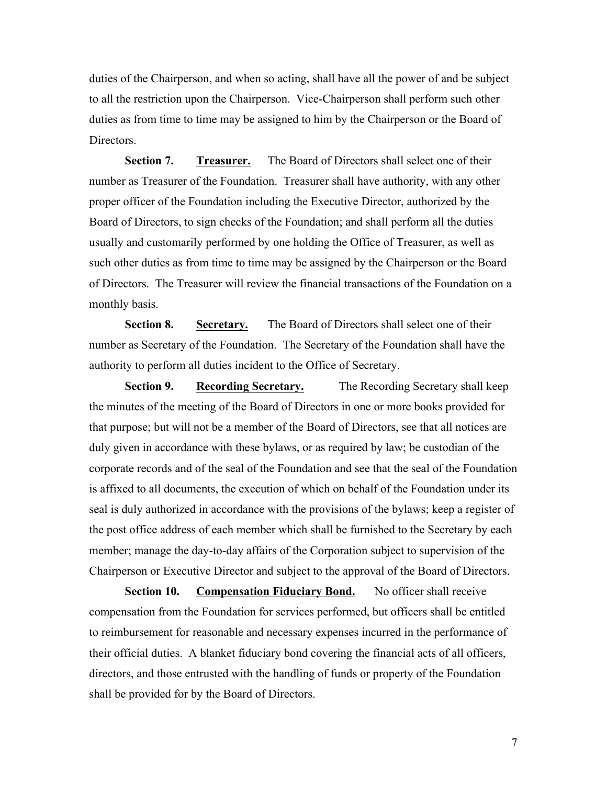duties of the Chairperson, and when so acting, shall have all the power of and be subject to all the restriction upon the Chairperson. Vice-Chairperson shall perform such other duties as from time to time may be assigned to him by the Chairperson or the Board of Directors.

**Section 7. Treasurer.** The Board of Directors shall select one of their number as Treasurer of the Foundation. Treasurer shall have authority, with any other proper officer of the Foundation including the Executive Director, authorized by the Board of Directors, to sign checks of the Foundation; and shall perform all the duties usually and customarily performed by one holding the Office of Treasurer, as well as such other duties as from time to time may be assigned by the Chairperson or the Board of Directors. The Treasurer will review the financial transactions of the Foundation on a monthly basis.

**Section 8. Secretary.** The Board of Directors shall select one of their number as Secretary of the Foundation. The Secretary of the Foundation shall have the authority to perform all duties incident to the Office of Secretary.

**Section 9. Recording Secretary.** The Recording Secretary shall keep the minutes of the meeting of the Board of Directors in one or more books provided for that purpose; but will not be a member of the Board of Directors, see that all notices are duly given in accordance with these bylaws, or as required by law; be custodian of the corporate records and of the seal of the Foundation and see that the seal of the Foundation is affixed to all documents, the execution of which on behalf of the Foundation under its seal is duly authorized in accordance with the provisions of the bylaws; keep a register of the post office address of each member which shall be furnished to the Secretary by each member; manage the day-to-day affairs of the Corporation subject to supervision of the Chairperson or Executive Director and subject to the approval of the Board of Directors.

**Section 10.** Compensation Fiduciary Bond. No officer shall receive compensation from the Foundation for services performed, but officers shall be entitled to reimbursement for reasonable and necessary expenses incurred in the performance of their official duties. A blanket fiduciary bond covering the financial acts of all officers, directors, and those entrusted with the handling of funds or property of the Foundation shall be provided for by the Board of Directors.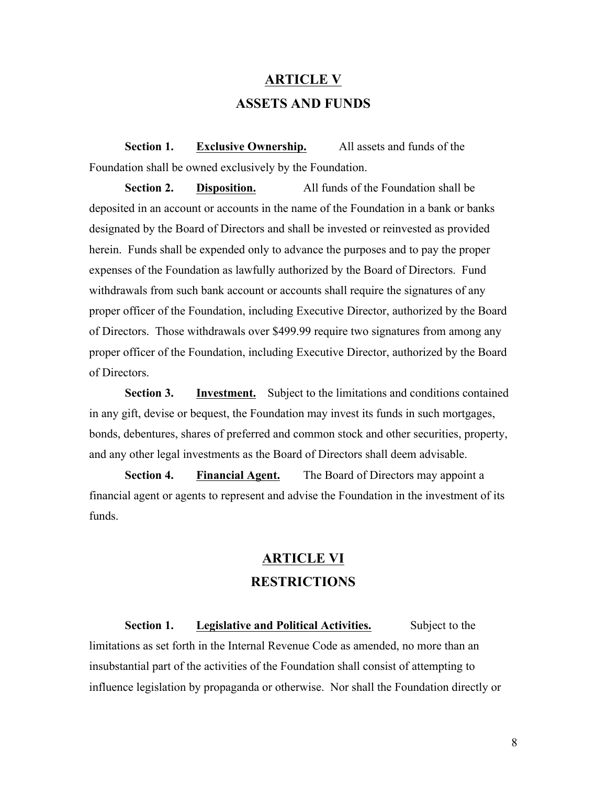## **ARTICLE V ASSETS AND FUNDS**

**Section 1. Exclusive Ownership.** All assets and funds of the Foundation shall be owned exclusively by the Foundation.

**Section 2. Disposition.** All funds of the Foundation shall be deposited in an account or accounts in the name of the Foundation in a bank or banks designated by the Board of Directors and shall be invested or reinvested as provided herein. Funds shall be expended only to advance the purposes and to pay the proper expenses of the Foundation as lawfully authorized by the Board of Directors. Fund withdrawals from such bank account or accounts shall require the signatures of any proper officer of the Foundation, including Executive Director, authorized by the Board of Directors. Those withdrawals over \$499.99 require two signatures from among any proper officer of the Foundation, including Executive Director, authorized by the Board of Directors.

**Section 3. Investment.** Subject to the limitations and conditions contained in any gift, devise or bequest, the Foundation may invest its funds in such mortgages, bonds, debentures, shares of preferred and common stock and other securities, property, and any other legal investments as the Board of Directors shall deem advisable.

**Section 4. Financial Agent.** The Board of Directors may appoint a financial agent or agents to represent and advise the Foundation in the investment of its funds.

### **ARTICLE VI RESTRICTIONS**

**Section 1. Legislative and Political Activities.** Subject to the limitations as set forth in the Internal Revenue Code as amended, no more than an insubstantial part of the activities of the Foundation shall consist of attempting to influence legislation by propaganda or otherwise. Nor shall the Foundation directly or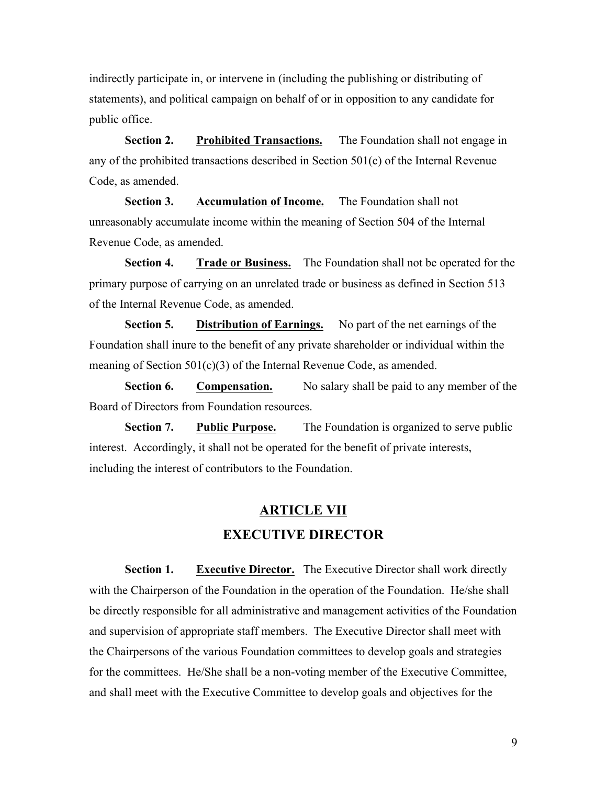indirectly participate in, or intervene in (including the publishing or distributing of statements), and political campaign on behalf of or in opposition to any candidate for public office.

**Section 2. Prohibited Transactions.** The Foundation shall not engage in any of the prohibited transactions described in Section 501(c) of the Internal Revenue Code, as amended.

**Section 3. Accumulation of Income.** The Foundation shall not unreasonably accumulate income within the meaning of Section 504 of the Internal Revenue Code, as amended.

**Section 4. Trade or Business.** The Foundation shall not be operated for the primary purpose of carrying on an unrelated trade or business as defined in Section 513 of the Internal Revenue Code, as amended.

**Section 5. Distribution of Earnings.** No part of the net earnings of the Foundation shall inure to the benefit of any private shareholder or individual within the meaning of Section 501(c)(3) of the Internal Revenue Code, as amended.

**Section 6. Compensation.** No salary shall be paid to any member of the Board of Directors from Foundation resources.

**Section 7. Public Purpose.** The Foundation is organized to serve public interest. Accordingly, it shall not be operated for the benefit of private interests, including the interest of contributors to the Foundation.

#### **ARTICLE VII**

#### **EXECUTIVE DIRECTOR**

**Section 1. Executive Director.** The Executive Director shall work directly with the Chairperson of the Foundation in the operation of the Foundation. He/she shall be directly responsible for all administrative and management activities of the Foundation and supervision of appropriate staff members. The Executive Director shall meet with the Chairpersons of the various Foundation committees to develop goals and strategies for the committees. He/She shall be a non-voting member of the Executive Committee, and shall meet with the Executive Committee to develop goals and objectives for the